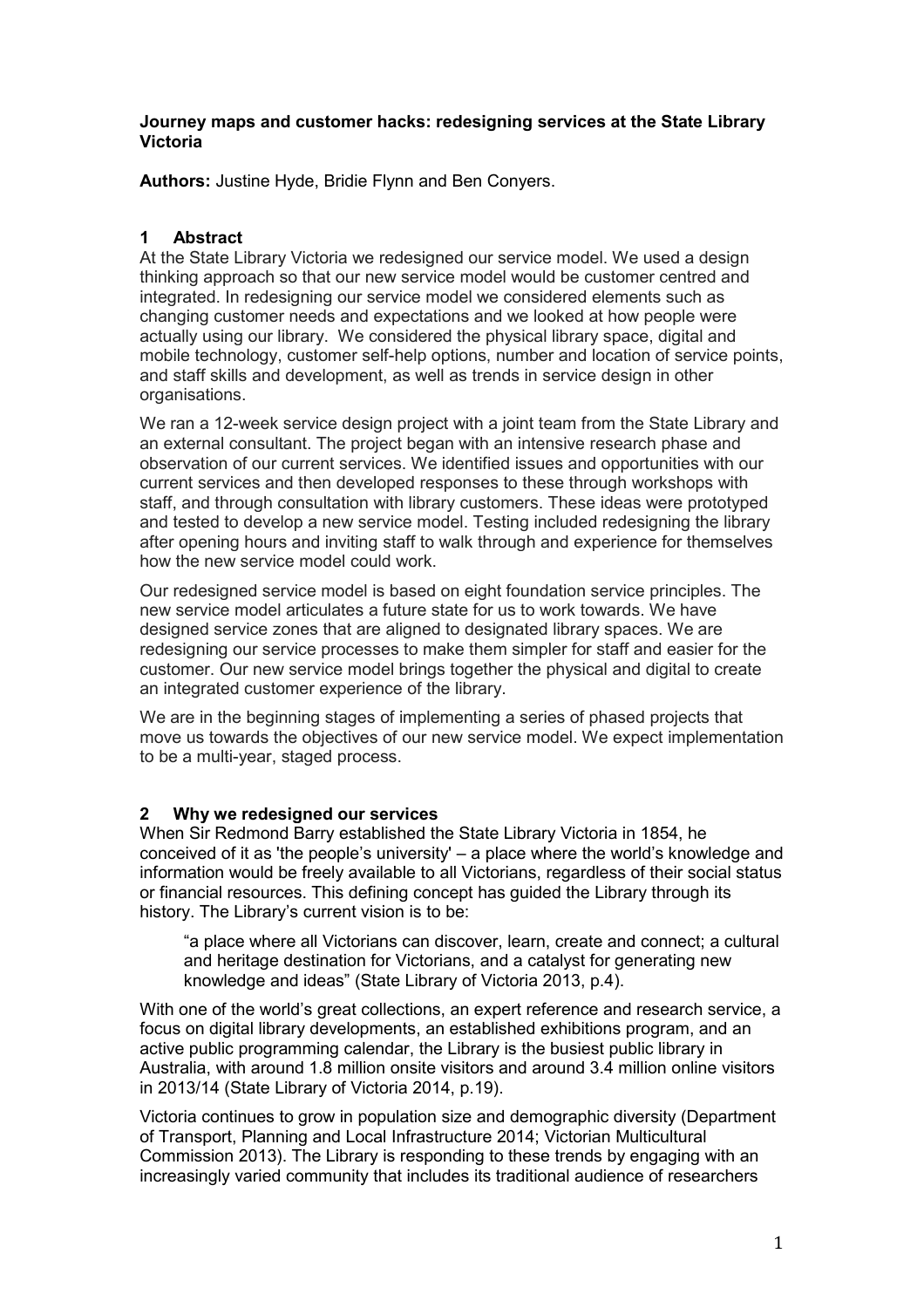## **Journey maps and customer hacks: redesigning services at the State Library Victoria**

**Authors:** Justine Hyde, Bridie Flynn and Ben Conyers.

# **1 Abstract**

At the State Library Victoria we redesigned our service model. We used a design thinking approach so that our new service model would be customer centred and integrated. In redesigning our service model we considered elements such as changing customer needs and expectations and we looked at how people were actually using our library. We considered the physical library space, digital and mobile technology, customer self-help options, number and location of service points, and staff skills and development, as well as trends in service design in other organisations.

We ran a 12-week service design project with a joint team from the State Library and an external consultant. The project began with an intensive research phase and observation of our current services. We identified issues and opportunities with our current services and then developed responses to these through workshops with staff, and through consultation with library customers. These ideas were prototyped and tested to develop a new service model. Testing included redesigning the library after opening hours and inviting staff to walk through and experience for themselves how the new service model could work.

Our redesigned service model is based on eight foundation service principles. The new service model articulates a future state for us to work towards. We have designed service zones that are aligned to designated library spaces. We are redesigning our service processes to make them simpler for staff and easier for the customer. Our new service model brings together the physical and digital to create an integrated customer experience of the library.

We are in the beginning stages of implementing a series of phased projects that move us towards the objectives of our new service model. We expect implementation to be a multi-year, staged process.

# **2 Why we redesigned our services**

When Sir Redmond Barry established the State Library Victoria in 1854, he conceived of it as 'the people's university' – a place where the world's knowledge and information would be freely available to all Victorians, regardless of their social status or financial resources. This defining concept has guided the Library through its history. The Library's current vision is to be:

"a place where all Victorians can discover, learn, create and connect; a cultural and heritage destination for Victorians, and a catalyst for generating new knowledge and ideas" (State Library of Victoria 2013, p.4).

With one of the world's great collections, an expert reference and research service, a focus on digital library developments, an established exhibitions program, and an active public programming calendar, the Library is the busiest public library in Australia, with around 1.8 million onsite visitors and around 3.4 million online visitors in 2013/14 (State Library of Victoria 2014, p.19).

Victoria continues to grow in population size and demographic diversity (Department of Transport, Planning and Local Infrastructure 2014; Victorian Multicultural Commission 2013). The Library is responding to these trends by engaging with an increasingly varied community that includes its traditional audience of researchers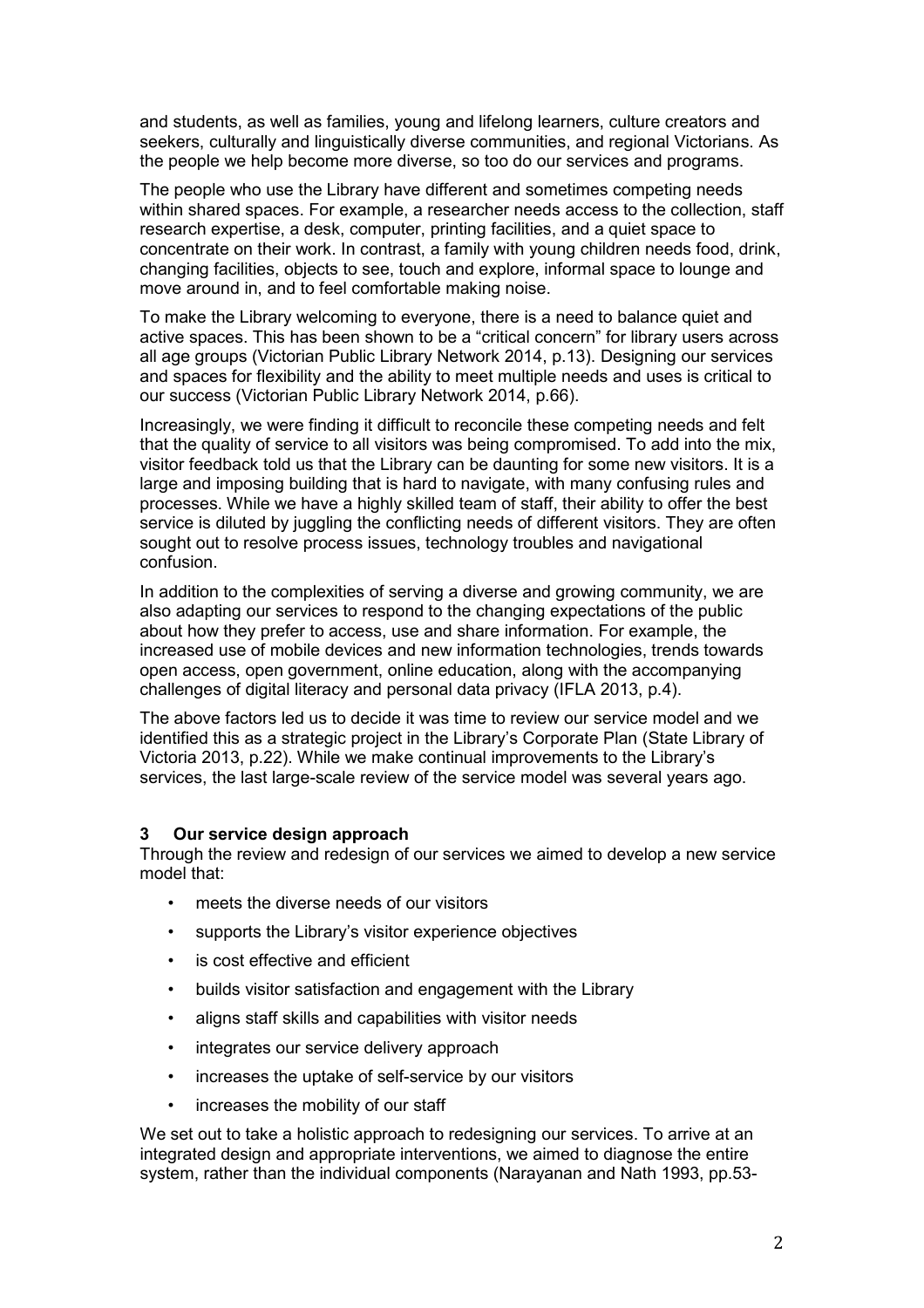and students, as well as families, young and lifelong learners, culture creators and seekers, culturally and linguistically diverse communities, and regional Victorians. As the people we help become more diverse, so too do our services and programs.

The people who use the Library have different and sometimes competing needs within shared spaces. For example, a researcher needs access to the collection, staff research expertise, a desk, computer, printing facilities, and a quiet space to concentrate on their work. In contrast, a family with young children needs food, drink, changing facilities, objects to see, touch and explore, informal space to lounge and move around in, and to feel comfortable making noise.

To make the Library welcoming to everyone, there is a need to balance quiet and active spaces. This has been shown to be a "critical concern" for library users across all age groups (Victorian Public Library Network 2014, p.13). Designing our services and spaces for flexibility and the ability to meet multiple needs and uses is critical to our success (Victorian Public Library Network 2014, p.66).

Increasingly, we were finding it difficult to reconcile these competing needs and felt that the quality of service to all visitors was being compromised. To add into the mix, visitor feedback told us that the Library can be daunting for some new visitors. It is a large and imposing building that is hard to navigate, with many confusing rules and processes. While we have a highly skilled team of staff, their ability to offer the best service is diluted by juggling the conflicting needs of different visitors. They are often sought out to resolve process issues, technology troubles and navigational confusion.

In addition to the complexities of serving a diverse and growing community, we are also adapting our services to respond to the changing expectations of the public about how they prefer to access, use and share information. For example, the increased use of mobile devices and new information technologies, trends towards open access, open government, online education, along with the accompanying challenges of digital literacy and personal data privacy (IFLA 2013, p.4).

The above factors led us to decide it was time to review our service model and we identified this as a strategic project in the Library's Corporate Plan (State Library of Victoria 2013, p.22). While we make continual improvements to the Library's services, the last large-scale review of the service model was several years ago.

#### **3 Our service design approach**

Through the review and redesign of our services we aimed to develop a new service model that:

- meets the diverse needs of our visitors
- supports the Library's visitor experience objectives
- is cost effective and efficient
- builds visitor satisfaction and engagement with the Library
- aligns staff skills and capabilities with visitor needs
- integrates our service delivery approach
- increases the uptake of self-service by our visitors
- increases the mobility of our staff

We set out to take a holistic approach to redesigning our services. To arrive at an integrated design and appropriate interventions, we aimed to diagnose the entire system, rather than the individual components (Narayanan and Nath 1993, pp.53-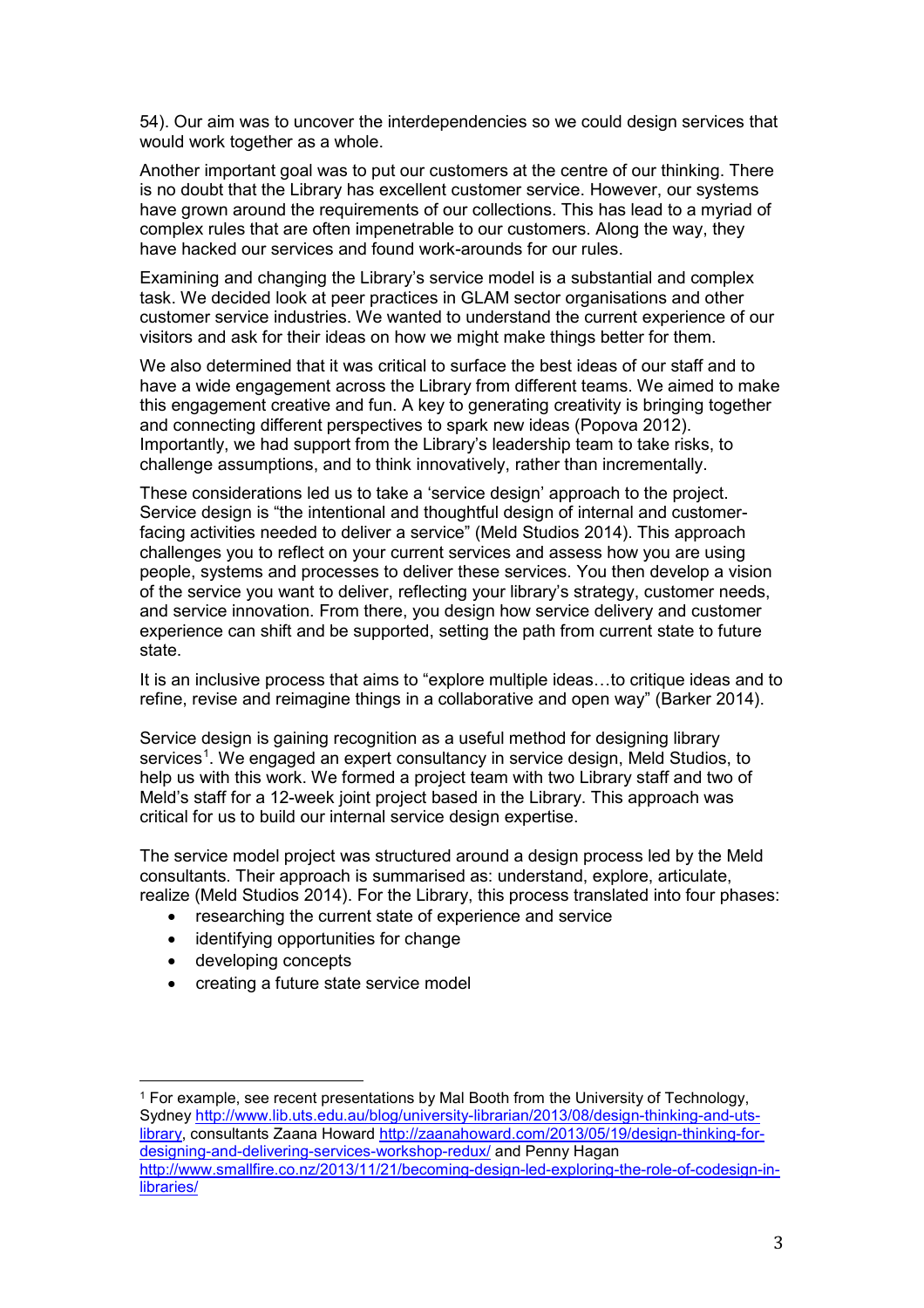54). Our aim was to uncover the interdependencies so we could design services that would work together as a whole.

Another important goal was to put our customers at the centre of our thinking. There is no doubt that the Library has excellent customer service. However, our systems have grown around the requirements of our collections. This has lead to a myriad of complex rules that are often impenetrable to our customers. Along the way, they have hacked our services and found work-arounds for our rules.

Examining and changing the Library's service model is a substantial and complex task. We decided look at peer practices in GLAM sector organisations and other customer service industries. We wanted to understand the current experience of our visitors and ask for their ideas on how we might make things better for them.

We also determined that it was critical to surface the best ideas of our staff and to have a wide engagement across the Library from different teams. We aimed to make this engagement creative and fun. A key to generating creativity is bringing together and connecting different perspectives to spark new ideas (Popova 2012). Importantly, we had support from the Library's leadership team to take risks, to challenge assumptions, and to think innovatively, rather than incrementally.

These considerations led us to take a 'service design' approach to the project. Service design is "the intentional and thoughtful design of internal and customerfacing activities needed to deliver a service" (Meld Studios 2014). This approach challenges you to reflect on your current services and assess how you are using people, systems and processes to deliver these services. You then develop a vision of the service you want to deliver, reflecting your library's strategy, customer needs, and service innovation. From there, you design how service delivery and customer experience can shift and be supported, setting the path from current state to future state.

It is an inclusive process that aims to "explore multiple ideas…to critique ideas and to refine, revise and reimagine things in a collaborative and open way" (Barker 2014).

Service design is gaining recognition as a useful method for designing library services<sup>[1](#page-2-0)</sup>. We engaged an expert consultancy in service design, Meld Studios, to help us with this work. We formed a project team with two Library staff and two of Meld's staff for a 12-week joint project based in the Library. This approach was critical for us to build our internal service design expertise.

The service model project was structured around a design process led by the Meld consultants. Their approach is summarised as: understand, explore, articulate, realize (Meld Studios 2014). For the Library, this process translated into four phases:

- researching the current state of experience and service
- identifying opportunities for change
- developing concepts
- creating a future state service model

<span id="page-2-0"></span> <sup>1</sup> For example, see recent presentations by Mal Booth from the University of Technology, Sydney [http://www.lib.uts.edu.au/blog/university-librarian/2013/08/design-thinking-and-uts](http://www.lib.uts.edu.au/blog/university-librarian/2013/08/design-thinking-and-uts-library)[library,](http://www.lib.uts.edu.au/blog/university-librarian/2013/08/design-thinking-and-uts-library) consultants Zaana Howard [http://zaanahoward.com/2013/05/19/design-thinking-for](http://zaanahoward.com/2013/05/19/design-thinking-for-designing-and-delivering-services-workshop-redux/)[designing-and-delivering-services-workshop-redux/](http://zaanahoward.com/2013/05/19/design-thinking-for-designing-and-delivering-services-workshop-redux/) and Penny Hagan [http://www.smallfire.co.nz/2013/11/21/becoming-design-led-exploring-the-role-of-codesign-in](http://www.smallfire.co.nz/2013/11/21/becoming-design-led-exploring-the-role-of-codesign-in-libraries/)[libraries/](http://www.smallfire.co.nz/2013/11/21/becoming-design-led-exploring-the-role-of-codesign-in-libraries/)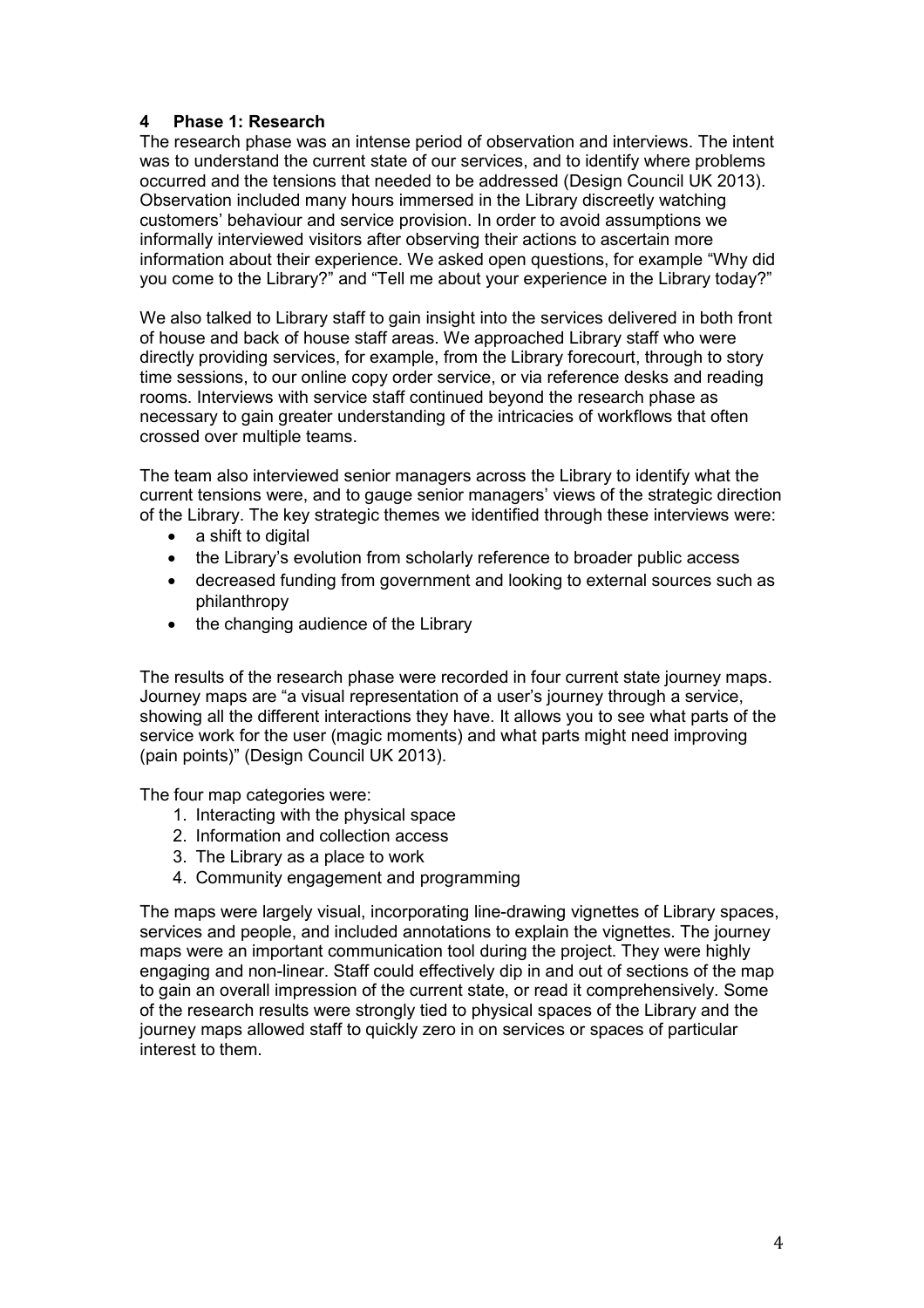## **4 Phase 1: Research**

The research phase was an intense period of observation and interviews. The intent was to understand the current state of our services, and to identify where problems occurred and the tensions that needed to be addressed (Design Council UK 2013). Observation included many hours immersed in the Library discreetly watching customers' behaviour and service provision. In order to avoid assumptions we informally interviewed visitors after observing their actions to ascertain more information about their experience. We asked open questions, for example "Why did you come to the Library?" and "Tell me about your experience in the Library today?"

We also talked to Library staff to gain insight into the services delivered in both front of house and back of house staff areas. We approached Library staff who were directly providing services, for example, from the Library forecourt, through to story time sessions, to our online copy order service, or via reference desks and reading rooms. Interviews with service staff continued beyond the research phase as necessary to gain greater understanding of the intricacies of workflows that often crossed over multiple teams.

The team also interviewed senior managers across the Library to identify what the current tensions were, and to gauge senior managers' views of the strategic direction of the Library. The key strategic themes we identified through these interviews were:

- a shift to digital
- the Library's evolution from scholarly reference to broader public access
- decreased funding from government and looking to external sources such as philanthropy
- the changing audience of the Library

The results of the research phase were recorded in four current state journey maps. Journey maps are "a visual representation of a user's journey through a service, showing all the different interactions they have. It allows you to see what parts of the service work for the user (magic moments) and what parts might need improving (pain points)" (Design Council UK 2013).

The four map categories were:

- 1. Interacting with the physical space
- 2. Information and collection access
- 3. The Library as a place to work
- 4. Community engagement and programming

The maps were largely visual, incorporating line-drawing vignettes of Library spaces, services and people, and included annotations to explain the vignettes. The journey maps were an important communication tool during the project. They were highly engaging and non-linear. Staff could effectively dip in and out of sections of the map to gain an overall impression of the current state, or read it comprehensively. Some of the research results were strongly tied to physical spaces of the Library and the journey maps allowed staff to quickly zero in on services or spaces of particular interest to them.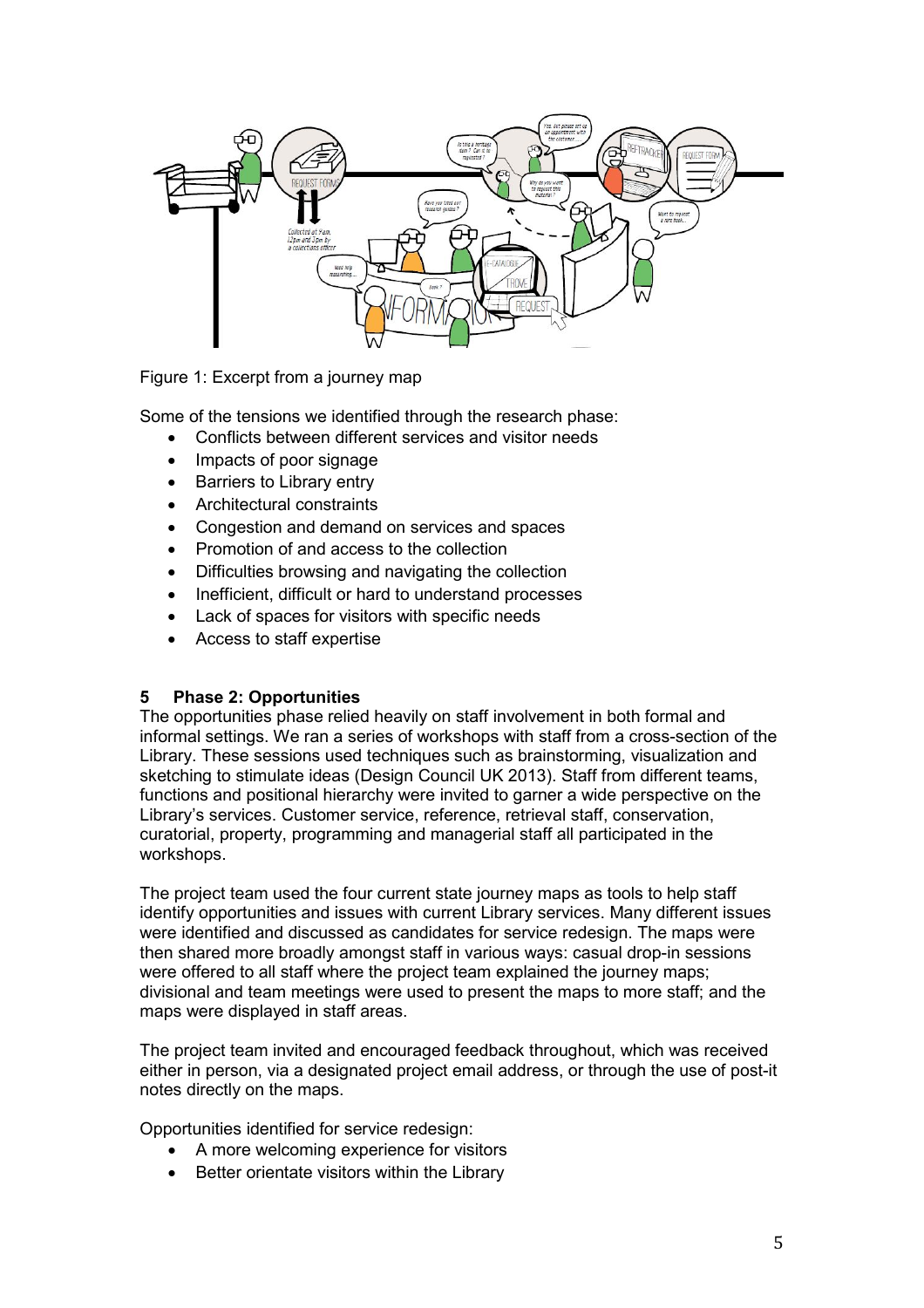

Figure 1: Excerpt from a journey map

Some of the tensions we identified through the research phase:

- Conflicts between different services and visitor needs
- Impacts of poor signage
- Barriers to Library entry
- Architectural constraints
- Congestion and demand on services and spaces
- Promotion of and access to the collection
- Difficulties browsing and navigating the collection
- Inefficient, difficult or hard to understand processes
- Lack of spaces for visitors with specific needs
- Access to staff expertise

#### **5 Phase 2: Opportunities**

The opportunities phase relied heavily on staff involvement in both formal and informal settings. We ran a series of workshops with staff from a cross-section of the Library. These sessions used techniques such as brainstorming, visualization and sketching to stimulate ideas (Design Council UK 2013). Staff from different teams, functions and positional hierarchy were invited to garner a wide perspective on the Library's services. Customer service, reference, retrieval staff, conservation, curatorial, property, programming and managerial staff all participated in the workshops.

The project team used the four current state journey maps as tools to help staff identify opportunities and issues with current Library services. Many different issues were identified and discussed as candidates for service redesign. The maps were then shared more broadly amongst staff in various ways: casual drop-in sessions were offered to all staff where the project team explained the journey maps; divisional and team meetings were used to present the maps to more staff; and the maps were displayed in staff areas.

The project team invited and encouraged feedback throughout, which was received either in person, via a designated project email address, or through the use of post-it notes directly on the maps.

Opportunities identified for service redesign:

- A more welcoming experience for visitors
- Better orientate visitors within the Library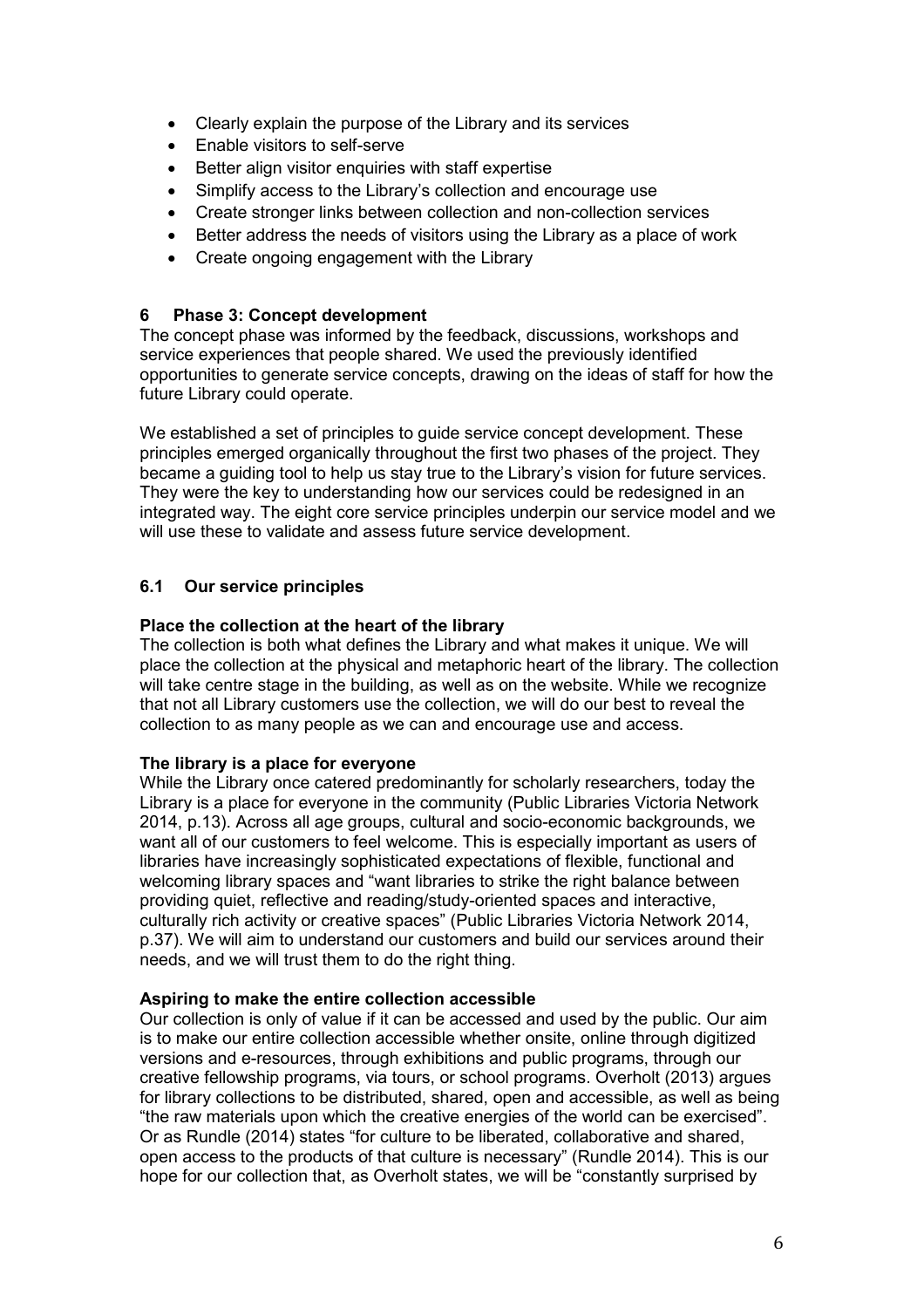- Clearly explain the purpose of the Library and its services
- Enable visitors to self-serve
- Better align visitor enquiries with staff expertise
- Simplify access to the Library's collection and encourage use
- Create stronger links between collection and non-collection services
- Better address the needs of visitors using the Library as a place of work
- Create ongoing engagement with the Library

## **6 Phase 3: Concept development**

The concept phase was informed by the feedback, discussions, workshops and service experiences that people shared. We used the previously identified opportunities to generate service concepts, drawing on the ideas of staff for how the future Library could operate.

We established a set of principles to guide service concept development. These principles emerged organically throughout the first two phases of the project. They became a guiding tool to help us stay true to the Library's vision for future services. They were the key to understanding how our services could be redesigned in an integrated way. The eight core service principles underpin our service model and we will use these to validate and assess future service development.

# **6.1 Our service principles**

## **Place the collection at the heart of the library**

The collection is both what defines the Library and what makes it unique. We will place the collection at the physical and metaphoric heart of the library. The collection will take centre stage in the building, as well as on the website. While we recognize that not all Library customers use the collection, we will do our best to reveal the collection to as many people as we can and encourage use and access.

## **The library is a place for everyone**

While the Library once catered predominantly for scholarly researchers, today the Library is a place for everyone in the community (Public Libraries Victoria Network 2014, p.13). Across all age groups, cultural and socio-economic backgrounds, we want all of our customers to feel welcome. This is especially important as users of libraries have increasingly sophisticated expectations of flexible, functional and welcoming library spaces and "want libraries to strike the right balance between providing quiet, reflective and reading/study-oriented spaces and interactive, culturally rich activity or creative spaces" (Public Libraries Victoria Network 2014, p.37). We will aim to understand our customers and build our services around their needs, and we will trust them to do the right thing.

## **Aspiring to make the entire collection accessible**

Our collection is only of value if it can be accessed and used by the public. Our aim is to make our entire collection accessible whether onsite, online through digitized versions and e-resources, through exhibitions and public programs, through our creative fellowship programs, via tours, or school programs. Overholt (2013) argues for library collections to be distributed, shared, open and accessible, as well as being "the raw materials upon which the creative energies of the world can be exercised". Or as Rundle (2014) states "for culture to be liberated, collaborative and shared, open access to the products of that culture is necessary" (Rundle 2014). This is our hope for our collection that, as Overholt states, we will be "constantly surprised by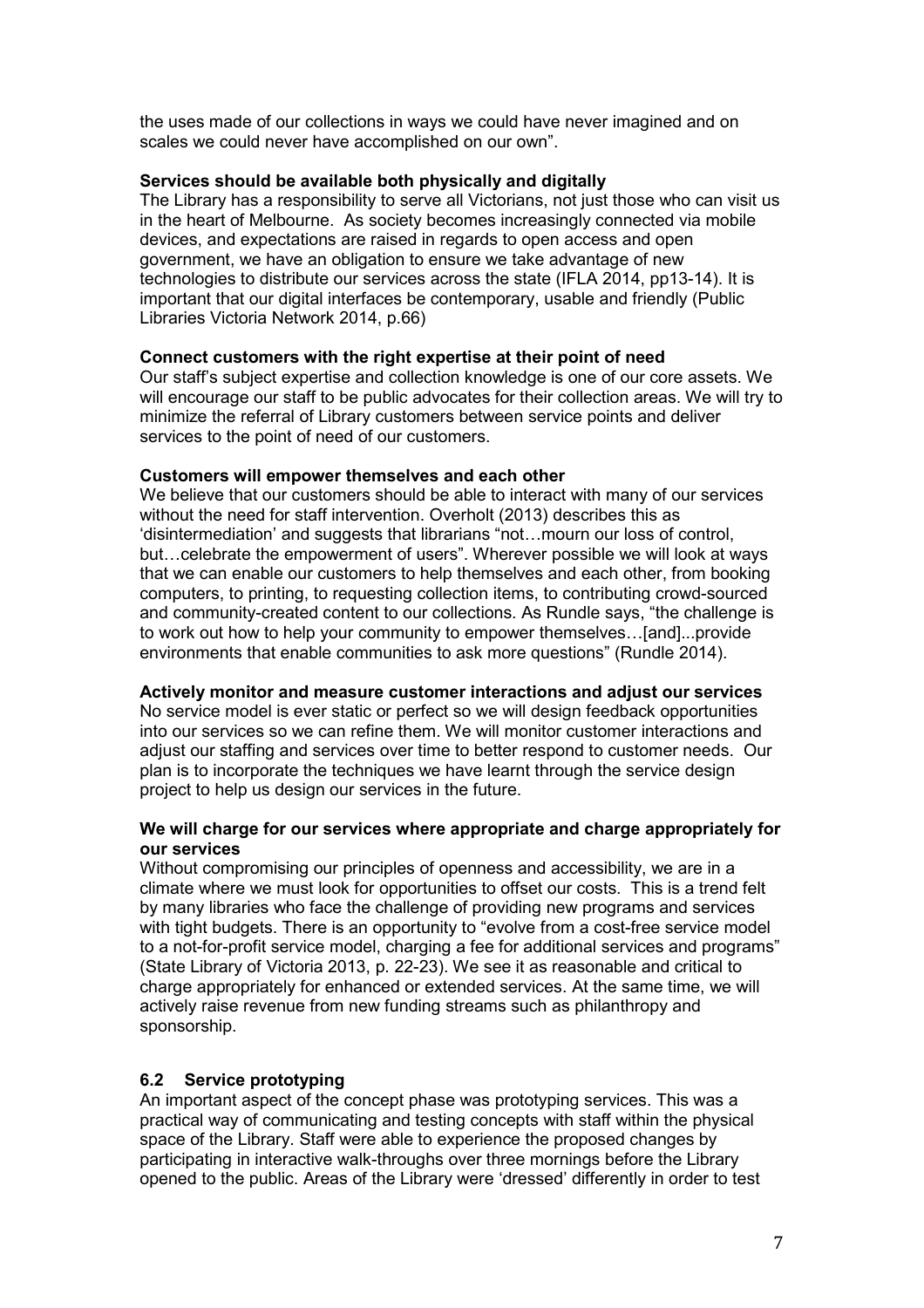the uses made of our collections in ways we could have never imagined and on scales we could never have accomplished on our own".

## **Services should be available both physically and digitally**

The Library has a responsibility to serve all Victorians, not just those who can visit us in the heart of Melbourne. As society becomes increasingly connected via mobile devices, and expectations are raised in regards to open access and open government, we have an obligation to ensure we take advantage of new technologies to distribute our services across the state (IFLA 2014, pp13-14). It is important that our digital interfaces be contemporary, usable and friendly (Public Libraries Victoria Network 2014, p.66)

### **Connect customers with the right expertise at their point of need**

Our staff's subject expertise and collection knowledge is one of our core assets. We will encourage our staff to be public advocates for their collection areas. We will try to minimize the referral of Library customers between service points and deliver services to the point of need of our customers.

### **Customers will empower themselves and each other**

We believe that our customers should be able to interact with many of our services without the need for staff intervention. Overholt (2013) describes this as 'disintermediation' and suggests that librarians "not…mourn our loss of control, but…celebrate the empowerment of users". Wherever possible we will look at ways that we can enable our customers to help themselves and each other, from booking computers, to printing, to requesting collection items, to contributing crowd-sourced and community-created content to our collections. As Rundle says, "the challenge is to work out how to help your community to empower themselves…[and]...provide environments that enable communities to ask more questions" (Rundle 2014).

#### **Actively monitor and measure customer interactions and adjust our services**

No service model is ever static or perfect so we will design feedback opportunities into our services so we can refine them. We will monitor customer interactions and adjust our staffing and services over time to better respond to customer needs. Our plan is to incorporate the techniques we have learnt through the service design project to help us design our services in the future.

### **We will charge for our services where appropriate and charge appropriately for our services**

Without compromising our principles of openness and accessibility, we are in a climate where we must look for opportunities to offset our costs. This is a trend felt by many libraries who face the challenge of providing new programs and services with tight budgets. There is an opportunity to "evolve from a cost-free service model to a not-for-profit service model, charging a fee for additional services and programs" (State Library of Victoria 2013, p. 22-23). We see it as reasonable and critical to charge appropriately for enhanced or extended services. At the same time, we will actively raise revenue from new funding streams such as philanthropy and sponsorship.

## **6.2 Service prototyping**

An important aspect of the concept phase was prototyping services. This was a practical way of communicating and testing concepts with staff within the physical space of the Library. Staff were able to experience the proposed changes by participating in interactive walk-throughs over three mornings before the Library opened to the public. Areas of the Library were 'dressed' differently in order to test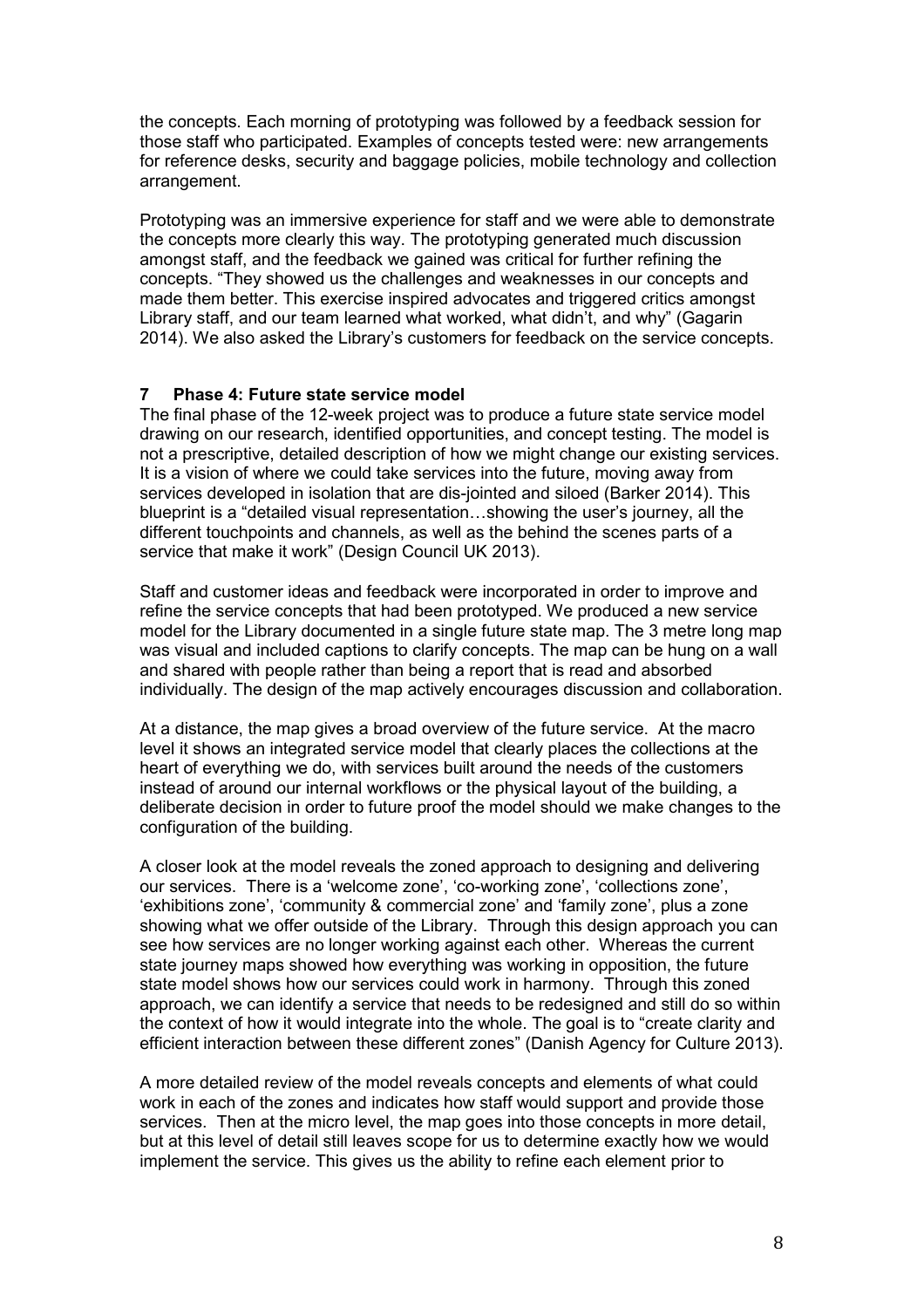the concepts. Each morning of prototyping was followed by a feedback session for those staff who participated. Examples of concepts tested were: new arrangements for reference desks, security and baggage policies, mobile technology and collection arrangement.

Prototyping was an immersive experience for staff and we were able to demonstrate the concepts more clearly this way. The prototyping generated much discussion amongst staff, and the feedback we gained was critical for further refining the concepts. "They showed us the challenges and weaknesses in our concepts and made them better. This exercise inspired advocates and triggered critics amongst Library staff, and our team learned what worked, what didn't, and why" (Gagarin 2014). We also asked the Library's customers for feedback on the service concepts.

## **7 Phase 4: Future state service model**

The final phase of the 12-week project was to produce a future state service model drawing on our research, identified opportunities, and concept testing. The model is not a prescriptive, detailed description of how we might change our existing services. It is a vision of where we could take services into the future, moving away from services developed in isolation that are dis-jointed and siloed (Barker 2014). This blueprint is a "detailed visual representation…showing the user's journey, all the different touchpoints and channels, as well as the behind the scenes parts of a service that make it work" (Design Council UK 2013).

Staff and customer ideas and feedback were incorporated in order to improve and refine the service concepts that had been prototyped. We produced a new service model for the Library documented in a single future state map. The 3 metre long map was visual and included captions to clarify concepts. The map can be hung on a wall and shared with people rather than being a report that is read and absorbed individually. The design of the map actively encourages discussion and collaboration.

At a distance, the map gives a broad overview of the future service. At the macro level it shows an integrated service model that clearly places the collections at the heart of everything we do, with services built around the needs of the customers instead of around our internal workflows or the physical layout of the building, a deliberate decision in order to future proof the model should we make changes to the configuration of the building.

A closer look at the model reveals the zoned approach to designing and delivering our services. There is a 'welcome zone', 'co-working zone', 'collections zone', 'exhibitions zone', 'community & commercial zone' and 'family zone', plus a zone showing what we offer outside of the Library. Through this design approach you can see how services are no longer working against each other. Whereas the current state journey maps showed how everything was working in opposition, the future state model shows how our services could work in harmony. Through this zoned approach, we can identify a service that needs to be redesigned and still do so within the context of how it would integrate into the whole. The goal is to "create clarity and efficient interaction between these different zones" (Danish Agency for Culture 2013).

A more detailed review of the model reveals concepts and elements of what could work in each of the zones and indicates how staff would support and provide those services. Then at the micro level, the map goes into those concepts in more detail, but at this level of detail still leaves scope for us to determine exactly how we would implement the service. This gives us the ability to refine each element prior to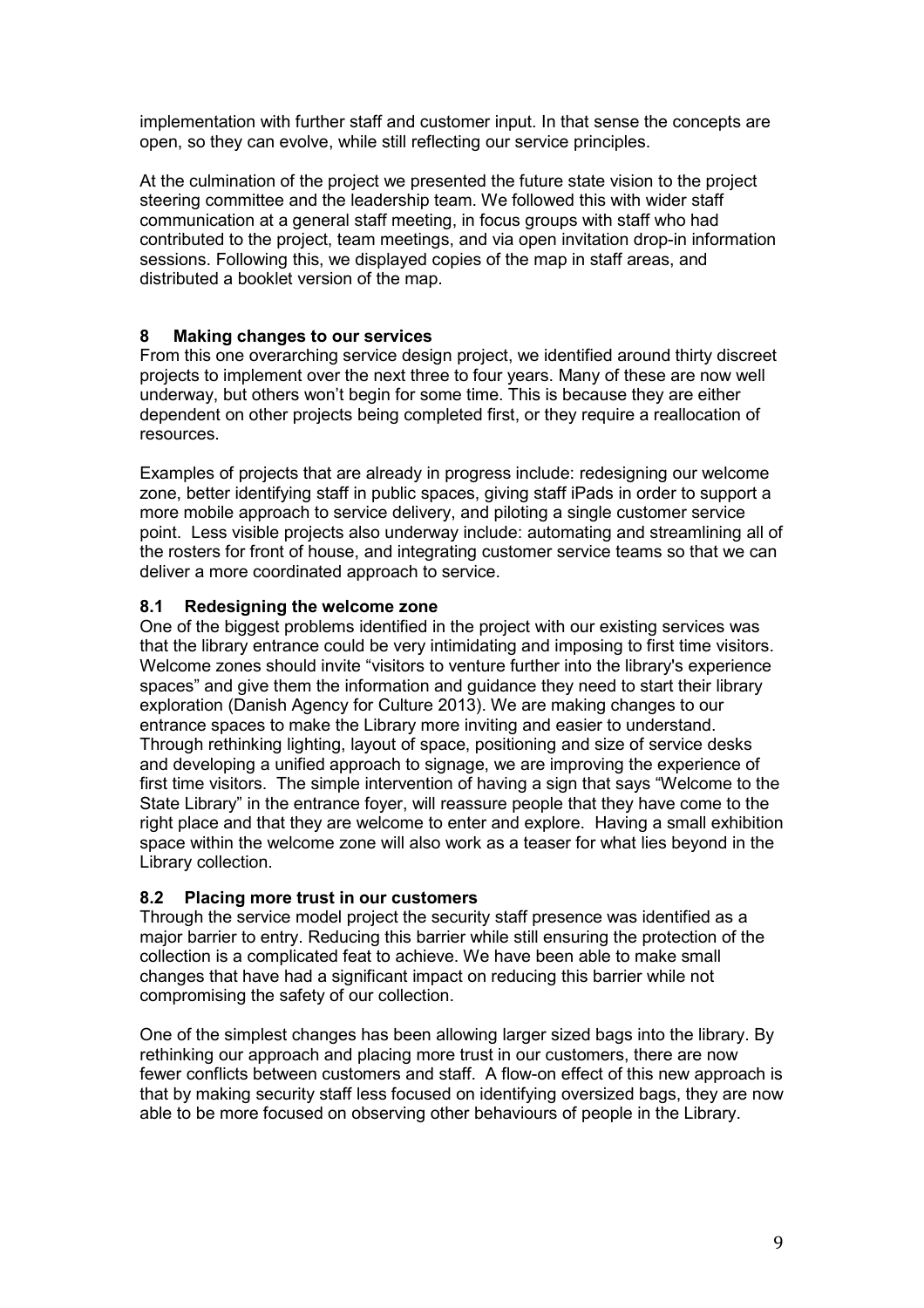implementation with further staff and customer input. In that sense the concepts are open, so they can evolve, while still reflecting our service principles.

At the culmination of the project we presented the future state vision to the project steering committee and the leadership team. We followed this with wider staff communication at a general staff meeting, in focus groups with staff who had contributed to the project, team meetings, and via open invitation drop-in information sessions. Following this, we displayed copies of the map in staff areas, and distributed a booklet version of the map.

## **8 Making changes to our services**

From this one overarching service design project, we identified around thirty discreet projects to implement over the next three to four years. Many of these are now well underway, but others won't begin for some time. This is because they are either dependent on other projects being completed first, or they require a reallocation of resources.

Examples of projects that are already in progress include: redesigning our welcome zone, better identifying staff in public spaces, giving staff iPads in order to support a more mobile approach to service delivery, and piloting a single customer service point. Less visible projects also underway include: automating and streamlining all of the rosters for front of house, and integrating customer service teams so that we can deliver a more coordinated approach to service.

## **8.1 Redesigning the welcome zone**

One of the biggest problems identified in the project with our existing services was that the library entrance could be very intimidating and imposing to first time visitors. Welcome zones should invite "visitors to venture further into the library's experience spaces" and give them the information and guidance they need to start their library exploration (Danish Agency for Culture 2013). We are making changes to our entrance spaces to make the Library more inviting and easier to understand. Through rethinking lighting, layout of space, positioning and size of service desks and developing a unified approach to signage, we are improving the experience of first time visitors. The simple intervention of having a sign that says "Welcome to the State Library" in the entrance foyer, will reassure people that they have come to the right place and that they are welcome to enter and explore. Having a small exhibition space within the welcome zone will also work as a teaser for what lies beyond in the Library collection.

## **8.2 Placing more trust in our customers**

Through the service model project the security staff presence was identified as a major barrier to entry. Reducing this barrier while still ensuring the protection of the collection is a complicated feat to achieve. We have been able to make small changes that have had a significant impact on reducing this barrier while not compromising the safety of our collection.

One of the simplest changes has been allowing larger sized bags into the library. By rethinking our approach and placing more trust in our customers, there are now fewer conflicts between customers and staff. A flow-on effect of this new approach is that by making security staff less focused on identifying oversized bags, they are now able to be more focused on observing other behaviours of people in the Library.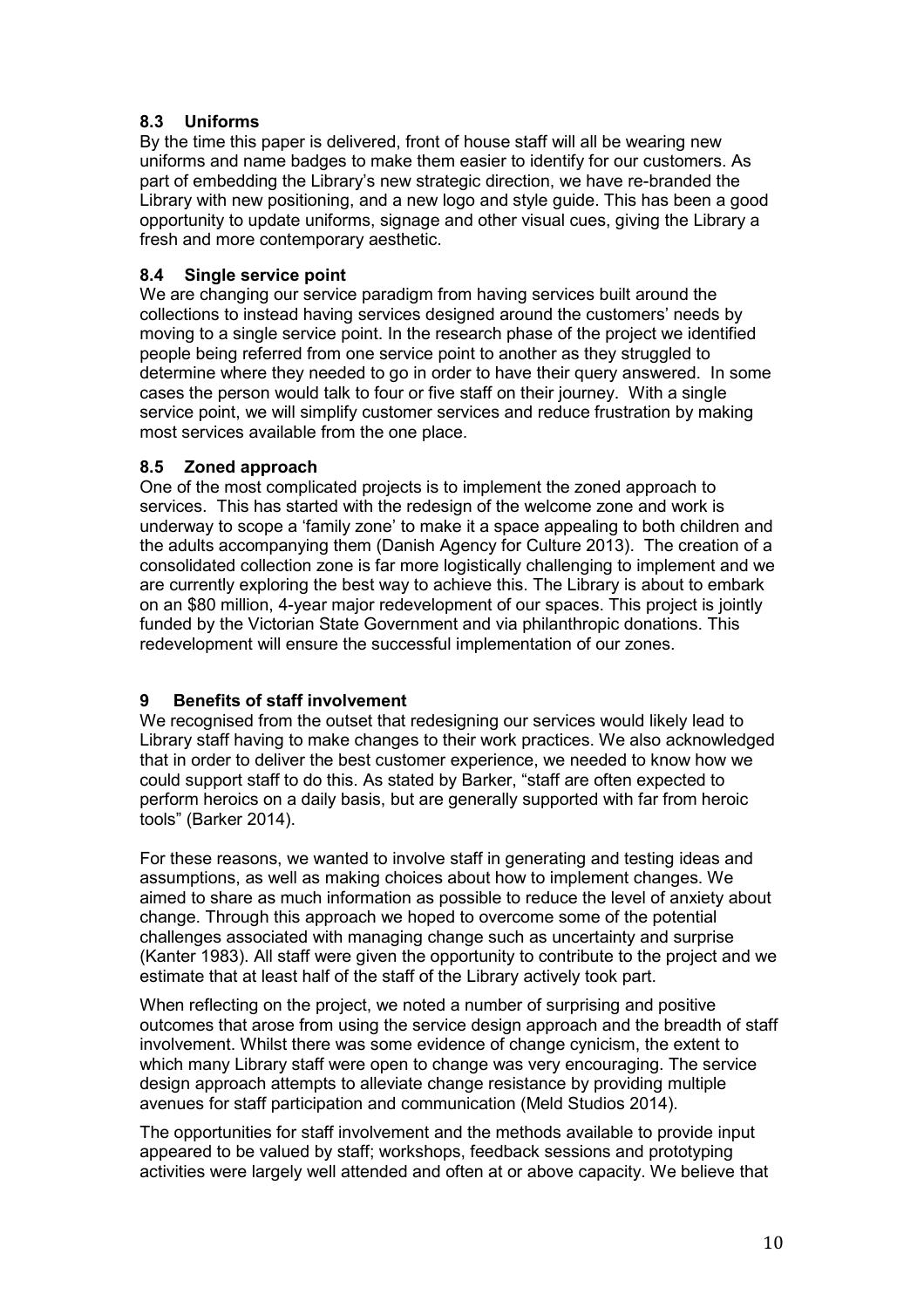# **8.3 Uniforms**

By the time this paper is delivered, front of house staff will all be wearing new uniforms and name badges to make them easier to identify for our customers. As part of embedding the Library's new strategic direction, we have re-branded the Library with new positioning, and a new logo and style guide. This has been a good opportunity to update uniforms, signage and other visual cues, giving the Library a fresh and more contemporary aesthetic.

## **8.4 Single service point**

We are changing our service paradigm from having services built around the collections to instead having services designed around the customers' needs by moving to a single service point. In the research phase of the project we identified people being referred from one service point to another as they struggled to determine where they needed to go in order to have their query answered. In some cases the person would talk to four or five staff on their journey. With a single service point, we will simplify customer services and reduce frustration by making most services available from the one place.

## **8.5 Zoned approach**

One of the most complicated projects is to implement the zoned approach to services. This has started with the redesign of the welcome zone and work is underway to scope a 'family zone' to make it a space appealing to both children and the adults accompanying them (Danish Agency for Culture 2013). The creation of a consolidated collection zone is far more logistically challenging to implement and we are currently exploring the best way to achieve this. The Library is about to embark on an \$80 million, 4-year major redevelopment of our spaces. This project is jointly funded by the Victorian State Government and via philanthropic donations. This redevelopment will ensure the successful implementation of our zones.

# **9 Benefits of staff involvement**

We recognised from the outset that redesigning our services would likely lead to Library staff having to make changes to their work practices. We also acknowledged that in order to deliver the best customer experience, we needed to know how we could support staff to do this. As stated by Barker, "staff are often expected to perform heroics on a daily basis, but are generally supported with far from heroic tools" (Barker 2014).

For these reasons, we wanted to involve staff in generating and testing ideas and assumptions, as well as making choices about how to implement changes. We aimed to share as much information as possible to reduce the level of anxiety about change. Through this approach we hoped to overcome some of the potential challenges associated with managing change such as uncertainty and surprise (Kanter 1983). All staff were given the opportunity to contribute to the project and we estimate that at least half of the staff of the Library actively took part.

When reflecting on the project, we noted a number of surprising and positive outcomes that arose from using the service design approach and the breadth of staff involvement. Whilst there was some evidence of change cynicism, the extent to which many Library staff were open to change was very encouraging. The service design approach attempts to alleviate change resistance by providing multiple avenues for staff participation and communication (Meld Studios 2014).

The opportunities for staff involvement and the methods available to provide input appeared to be valued by staff; workshops, feedback sessions and prototyping activities were largely well attended and often at or above capacity. We believe that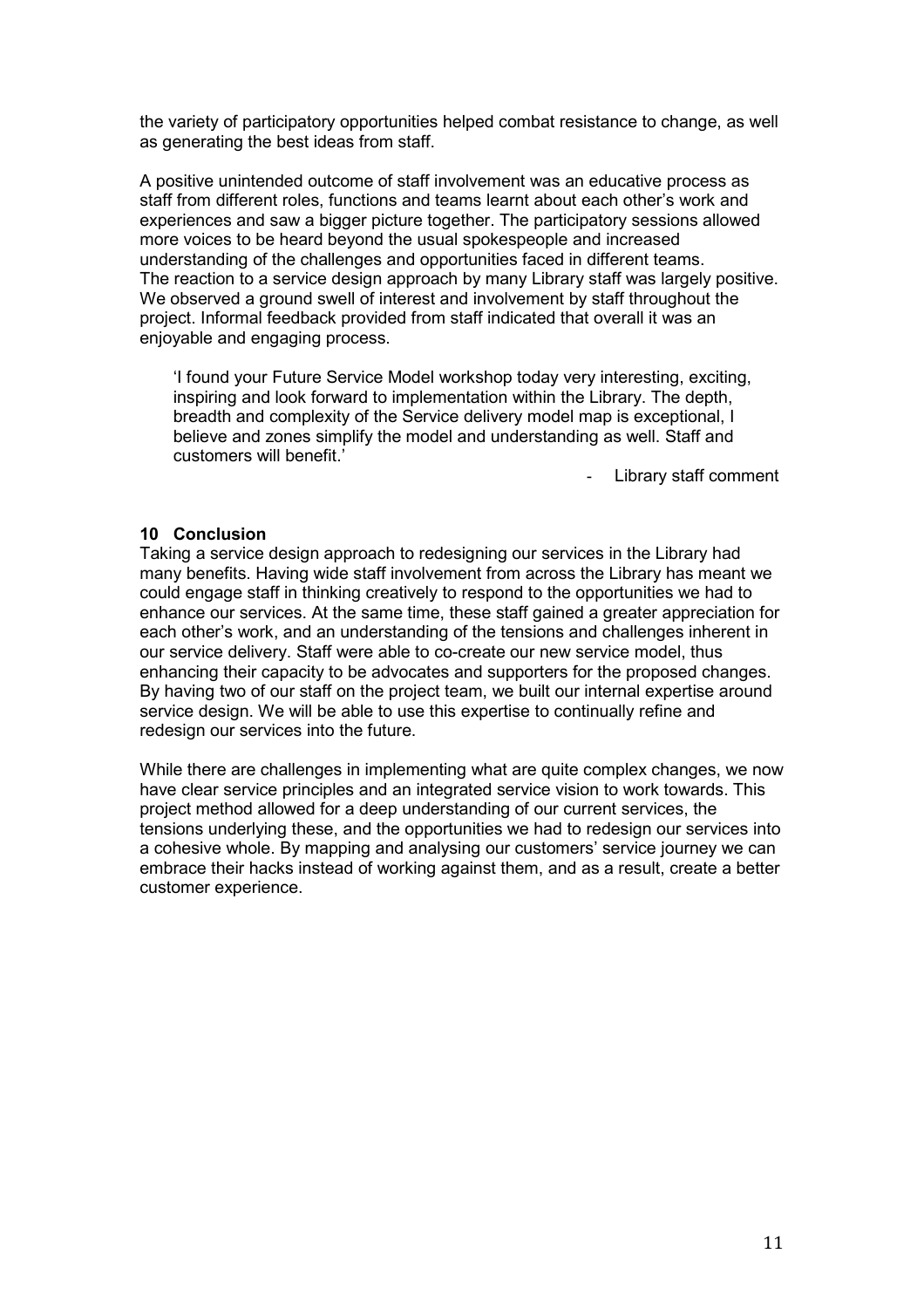the variety of participatory opportunities helped combat resistance to change, as well as generating the best ideas from staff.

A positive unintended outcome of staff involvement was an educative process as staff from different roles, functions and teams learnt about each other's work and experiences and saw a bigger picture together. The participatory sessions allowed more voices to be heard beyond the usual spokespeople and increased understanding of the challenges and opportunities faced in different teams. The reaction to a service design approach by many Library staff was largely positive. We observed a ground swell of interest and involvement by staff throughout the project. Informal feedback provided from staff indicated that overall it was an enjoyable and engaging process.

'I found your Future Service Model workshop today very interesting, exciting, inspiring and look forward to implementation within the Library. The depth, breadth and complexity of the Service delivery model map is exceptional, I believe and zones simplify the model and understanding as well. Staff and customers will benefit.'

Library staff comment

### **10 Conclusion**

Taking a service design approach to redesigning our services in the Library had many benefits. Having wide staff involvement from across the Library has meant we could engage staff in thinking creatively to respond to the opportunities we had to enhance our services. At the same time, these staff gained a greater appreciation for each other's work, and an understanding of the tensions and challenges inherent in our service delivery. Staff were able to co-create our new service model, thus enhancing their capacity to be advocates and supporters for the proposed changes. By having two of our staff on the project team, we built our internal expertise around service design. We will be able to use this expertise to continually refine and redesign our services into the future.

While there are challenges in implementing what are quite complex changes, we now have clear service principles and an integrated service vision to work towards. This project method allowed for a deep understanding of our current services, the tensions underlying these, and the opportunities we had to redesign our services into a cohesive whole. By mapping and analysing our customers' service journey we can embrace their hacks instead of working against them, and as a result, create a better customer experience.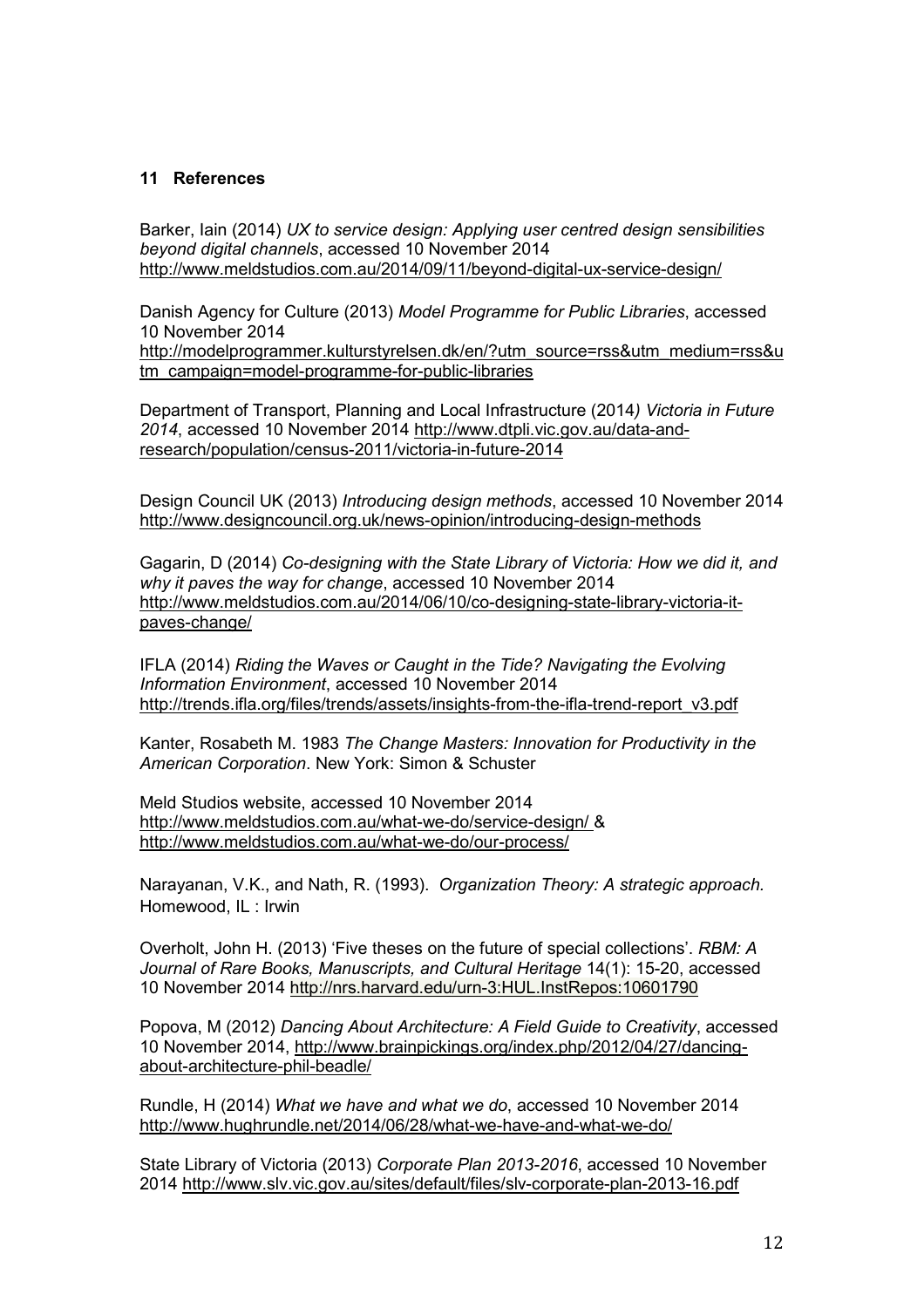## **11 References**

Barker, Iain (2014) *UX to service design: Applying user centred design sensibilities beyond digital channels*, accessed 10 November 2014 <http://www.meldstudios.com.au/2014/09/11/beyond-digital-ux-service-design/>

Danish Agency for Culture (2013) *Model Programme for Public Libraries*, accessed 10 November 2014

[http://modelprogrammer.kulturstyrelsen.dk/en/?utm\\_source=rss&utm\\_medium=rss&u](http://modelprogrammer.kulturstyrelsen.dk/en/?utm_source=rss&utm_medium=rss&utm_campaign=model-programme-for-public-libraries) [tm\\_campaign=model-programme-for-public-libraries](http://modelprogrammer.kulturstyrelsen.dk/en/?utm_source=rss&utm_medium=rss&utm_campaign=model-programme-for-public-libraries)

Department of Transport, Planning and Local Infrastructure (2014*) Victoria in Future 2014*, accessed 10 November 2014 [http://www.dtpli.vic.gov.au/data-and](http://www.dtpli.vic.gov.au/data-and-research/population/census-2011/victoria-in-future-2014)[research/population/census-2011/victoria-in-future-2014](http://www.dtpli.vic.gov.au/data-and-research/population/census-2011/victoria-in-future-2014)

Design Council UK (2013) *Introducing design methods*, accessed 10 November 2014 <http://www.designcouncil.org.uk/news-opinion/introducing-design-methods>

Gagarin, D (2014) *Co-designing with the State Library of Victoria: How we did it, and why it paves the way for change*, accessed 10 November 2014 [http://www.meldstudios.com.au/2014/06/10/co-designing-state-library-victoria-it](http://www.meldstudios.com.au/2014/06/10/co-designing-state-library-victoria-it-paves-change/)[paves-change/](http://www.meldstudios.com.au/2014/06/10/co-designing-state-library-victoria-it-paves-change/)

IFLA (2014) *Riding the Waves or Caught in the Tide? Navigating the Evolving Information Environment*, accessed 10 November 2014 [http://trends.ifla.org/files/trends/assets/insights-from-the-ifla-trend-report\\_v3.pdf](http://trends.ifla.org/files/trends/assets/insights-from-the-ifla-trend-report_v3.pdf)

Kanter, Rosabeth M. 1983 *[The Change Masters: Innovation for Productivity in the](http://hollis.harvard.edu/?itemid=|library/m/aleph|000385923)  [American Corporation](http://hollis.harvard.edu/?itemid=|library/m/aleph|000385923)*. New York: Simon & Schuster

Meld Studios website, accessed 10 November 2014 <http://www.meldstudios.com.au/what-we-do/service-design/> & <http://www.meldstudios.com.au/what-we-do/our-process/>

Narayanan, V.K., and Nath, R. (1993). *Organization Theory: A strategic approach.* Homewood, IL : Irwin

Overholt, John H. (2013) 'Five theses on the future of special collections'. *RBM: A Journal of Rare Books, Manuscripts, and Cultural Heritage* 14(1): 15-20, accessed 10 November 2014<http://nrs.harvard.edu/urn-3:HUL.InstRepos:10601790>

Popova, M (2012) *Dancing About Architecture: A Field Guide to Creativity*, accessed 10 November 2014, [http://www.brainpickings.org/index.php/2012/04/27/dancing](http://www.brainpickings.org/index.php/2012/04/27/dancing-about-architecture-phil-beadle/)[about-architecture-phil-beadle/](http://www.brainpickings.org/index.php/2012/04/27/dancing-about-architecture-phil-beadle/)

Rundle, H (2014) *What we have and what we do*, accessed 10 November 2014 <http://www.hughrundle.net/2014/06/28/what-we-have-and-what-we-do/>

State Library of Victoria (2013) *Corporate Plan 2013-2016*, accessed 10 November 2014<http://www.slv.vic.gov.au/sites/default/files/slv-corporate-plan-2013-16.pdf>